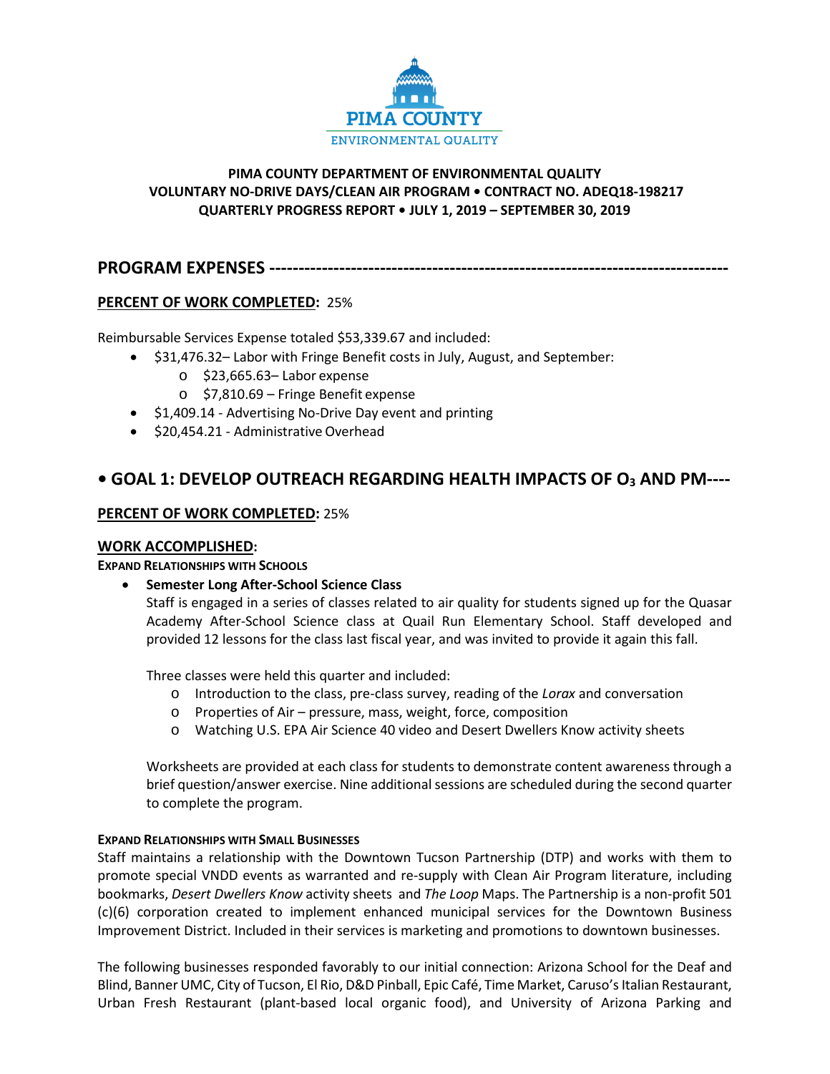

# **PIMA COUNTY DEPARTMENT OF ENVIRONMENTAL QUALITY VOLUNTARY NO-DRIVE DAYS/CLEAN AIR PROGRAM • CONTRACT NO. ADEQ18-198217 QUARTERLY PROGRESS REPORT • JULY 1, 2019 – SEPTEMBER 30, 2019**

**PROGRAM EXPENSES -------------------------------------------------------------------------------**

# **PERCENT OF WORK COMPLETED:** 25%

Reimbursable Services Expense totaled \$53,339.67 and included:

- \$31,476.32– Labor with Fringe Benefit costs in July, August, and September:
	- o \$23,665.63– Labor expense
	- o \$7,810.69 Fringe Benefit expense
- \$1,409.14 Advertising No-Drive Day event and printing
- \$20,454.21 Administrative Overhead

# **• GOAL 1: DEVELOP OUTREACH REGARDING HEALTH IMPACTS OF O3 AND PM----**

# **PERCENT OF WORK COMPLETED:** 25%

# **WORK ACCOMPLISHED:**

# **EXPAND RELATIONSHIPS WITH SCHOOLS**

• **Semester Long After-School Science Class** 

Staff is engaged in a series of classes related to air quality for students signed up for the Quasar Academy After-School Science class at Quail Run Elementary School. Staff developed and provided 12 lessons for the class last fiscal year, and was invited to provide it again this fall.

Three classes were held this quarter and included:

- o Introduction to the class, pre-class survey, reading of the *Lorax* and conversation
- o Properties of Air pressure, mass, weight, force, composition
- o Watching U.S. EPA Air Science 40 video and Desert Dwellers Know activity sheets

Worksheets are provided at each class for students to demonstrate content awareness through a brief question/answer exercise. Nine additional sessions are scheduled during the second quarter to complete the program.

# **EXPAND RELATIONSHIPS WITH SMALL BUSINESSES**

Staff maintains a relationship with the Downtown Tucson Partnership (DTP) and works with them to promote special VNDD events as warranted and re-supply with Clean Air Program literature, including bookmarks, *Desert Dwellers Know* activity sheets and *The Loop* Maps. The Partnership is a non-profit 501 (c)(6) corporation created to implement enhanced municipal services for the Downtown Business Improvement District. Included in their services is marketing and promotions to downtown businesses.

The following businesses responded favorably to our initial connection: Arizona School for the Deaf and Blind, Banner UMC, City of Tucson, El Rio, D&D Pinball, Epic Café, Time Market, Caruso's Italian Restaurant, Urban Fresh Restaurant (plant-based local organic food), and University of Arizona Parking and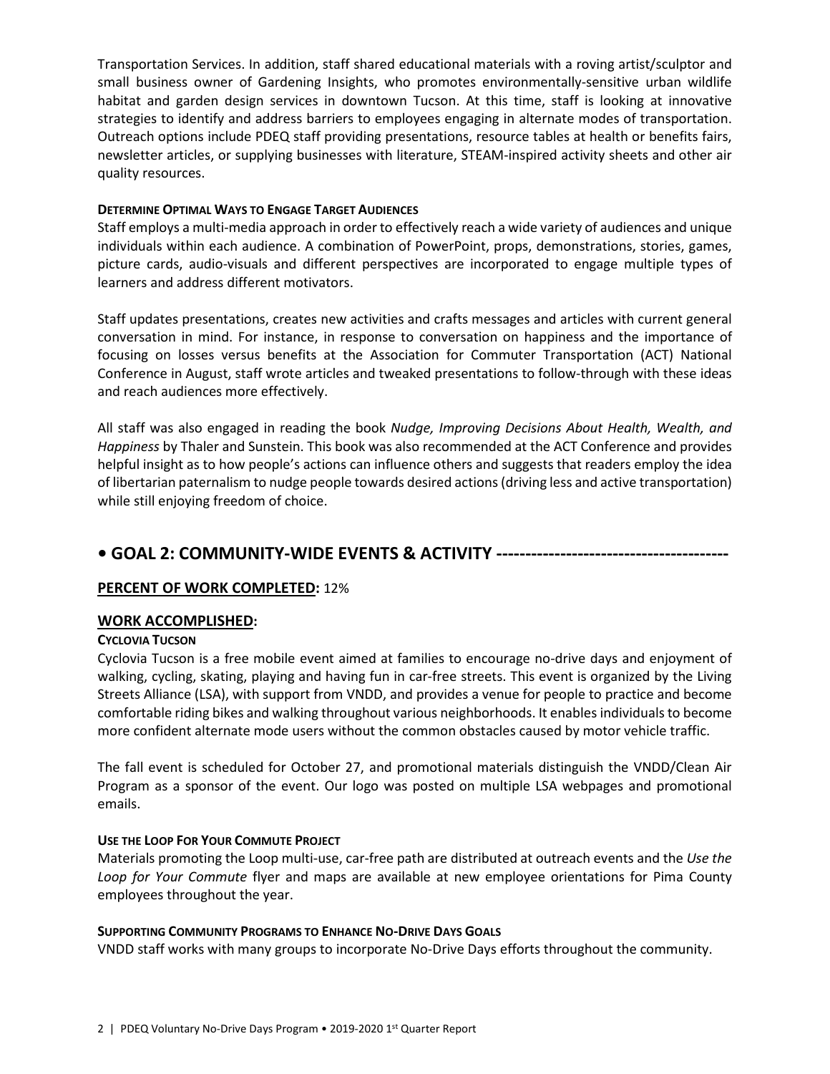Transportation Services. In addition, staff shared educational materials with a roving artist/sculptor and small business owner of Gardening Insights, who promotes environmentally-sensitive urban wildlife habitat and garden design services in downtown Tucson. At this time, staff is looking at innovative strategies to identify and address barriers to employees engaging in alternate modes of transportation. Outreach options include PDEQ staff providing presentations, resource tables at health or benefits fairs, newsletter articles, or supplying businesses with literature, STEAM-inspired activity sheets and other air quality resources.

# **DETERMINE OPTIMAL WAYS TO ENGAGE TARGET AUDIENCES**

Staff employs a multi-media approach in order to effectively reach a wide variety of audiences and unique individuals within each audience. A combination of PowerPoint, props, demonstrations, stories, games, picture cards, audio-visuals and different perspectives are incorporated to engage multiple types of learners and address different motivators.

Staff updates presentations, creates new activities and crafts messages and articles with current general conversation in mind. For instance, in response to conversation on happiness and the importance of focusing on losses versus benefits at the Association for Commuter Transportation (ACT) National Conference in August, staff wrote articles and tweaked presentations to follow-through with these ideas and reach audiences more effectively.

All staff was also engaged in reading the book *Nudge, Improving Decisions About Health, Wealth, and Happiness* by Thaler and Sunstein. This book was also recommended at the ACT Conference and provides helpful insight as to how people's actions can influence others and suggests that readers employ the idea of libertarian paternalism to nudge people towards desired actions (driving less and active transportation) while still enjoying freedom of choice.

# **• GOAL 2: COMMUNITY-WIDE EVENTS & ACTIVITY ----------------------------------------**

# **PERCENT OF WORK COMPLETED:** 12%

# **WORK ACCOMPLISHED:**

# **CYCLOVIA TUCSON**

Cyclovia Tucson is a free mobile event aimed at families to encourage no-drive days and enjoyment of walking, cycling, skating, playing and having fun in car-free streets. This event is organized by the Living Streets Alliance (LSA), with support from VNDD, and provides a venue for people to practice and become comfortable riding bikes and walking throughout various neighborhoods. It enables individuals to become more confident alternate mode users without the common obstacles caused by motor vehicle traffic.

The fall event is scheduled for October 27, and promotional materials distinguish the VNDD/Clean Air Program as a sponsor of the event. Our logo was posted on multiple LSA webpages and promotional emails.

# **USE THE LOOP FOR YOUR COMMUTE PROJECT**

Materials promoting the Loop multi-use, car-free path are distributed at outreach events and the *Use the Loop for Your Commute* flyer and maps are available at new employee orientations for Pima County employees throughout the year.

# **SUPPORTING COMMUNITY PROGRAMS TO ENHANCE NO-DRIVE DAYS GOALS**

VNDD staff works with many groups to incorporate No-Drive Days efforts throughout the community.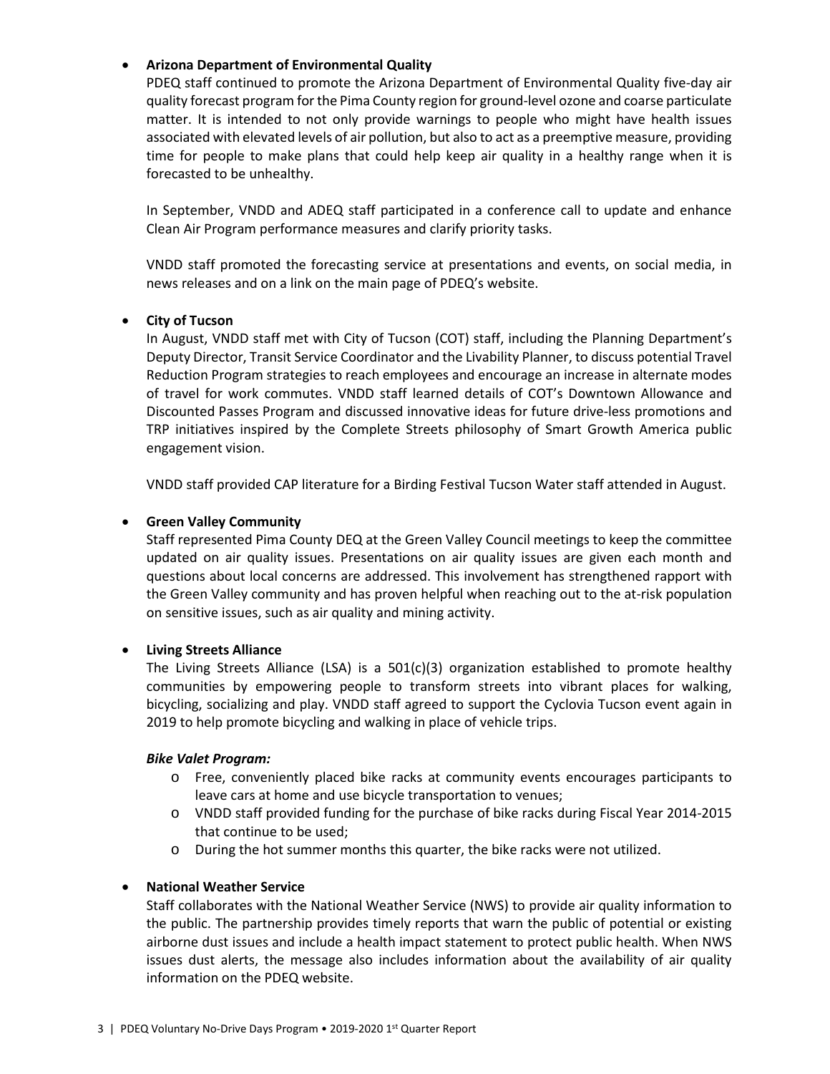# • **Arizona Department of Environmental Quality**

PDEQ staff continued to promote the Arizona Department of Environmental Quality five-day air quality forecast program for the Pima County region for ground-level ozone and coarse particulate matter. It is intended to not only provide warnings to people who might have health issues associated with elevated levels of air pollution, but also to act as a preemptive measure, providing time for people to make plans that could help keep air quality in a healthy range when it is forecasted to be unhealthy.

In September, VNDD and ADEQ staff participated in a conference call to update and enhance Clean Air Program performance measures and clarify priority tasks.

VNDD staff promoted the forecasting service at presentations and events, on social media, in news releases and on a link on the main page of PDEQ's website.

# • **City of Tucson**

In August, VNDD staff met with City of Tucson (COT) staff, including the Planning Department's Deputy Director, Transit Service Coordinator and the Livability Planner, to discuss potential Travel Reduction Program strategies to reach employees and encourage an increase in alternate modes of travel for work commutes. VNDD staff learned details of COT's Downtown Allowance and Discounted Passes Program and discussed innovative ideas for future drive-less promotions and TRP initiatives inspired by the Complete Streets philosophy of Smart Growth America public engagement vision.

VNDD staff provided CAP literature for a Birding Festival Tucson Water staff attended in August.

#### • **Green Valley Community**

Staff represented Pima County DEQ at the Green Valley Council meetings to keep the committee updated on air quality issues. Presentations on air quality issues are given each month and questions about local concerns are addressed. This involvement has strengthened rapport with the Green Valley community and has proven helpful when reaching out to the at-risk population on sensitive issues, such as air quality and mining activity.

# • **Living Streets Alliance**

The Living Streets Alliance (LSA) is a 501(c)(3) organization established to promote healthy communities by empowering people to transform streets into vibrant places for walking, bicycling, socializing and play. VNDD staff agreed to support the Cyclovia Tucson event again in 2019 to help promote bicycling and walking in place of vehicle trips.

#### *Bike Valet Program:*

- o Free, conveniently placed bike racks at community events encourages participants to leave cars at home and use bicycle transportation to venues;
- o VNDD staff provided funding for the purchase of bike racks during Fiscal Year 2014-2015 that continue to be used;
- o During the hot summer months this quarter, the bike racks were not utilized.

#### • **National Weather Service**

Staff collaborates with the National Weather Service (NWS) to provide air quality information to the public. The partnership provides timely reports that warn the public of potential or existing airborne dust issues and include a health impact statement to protect public health. When NWS issues dust alerts, the message also includes information about the availability of air quality information on the PDEQ website.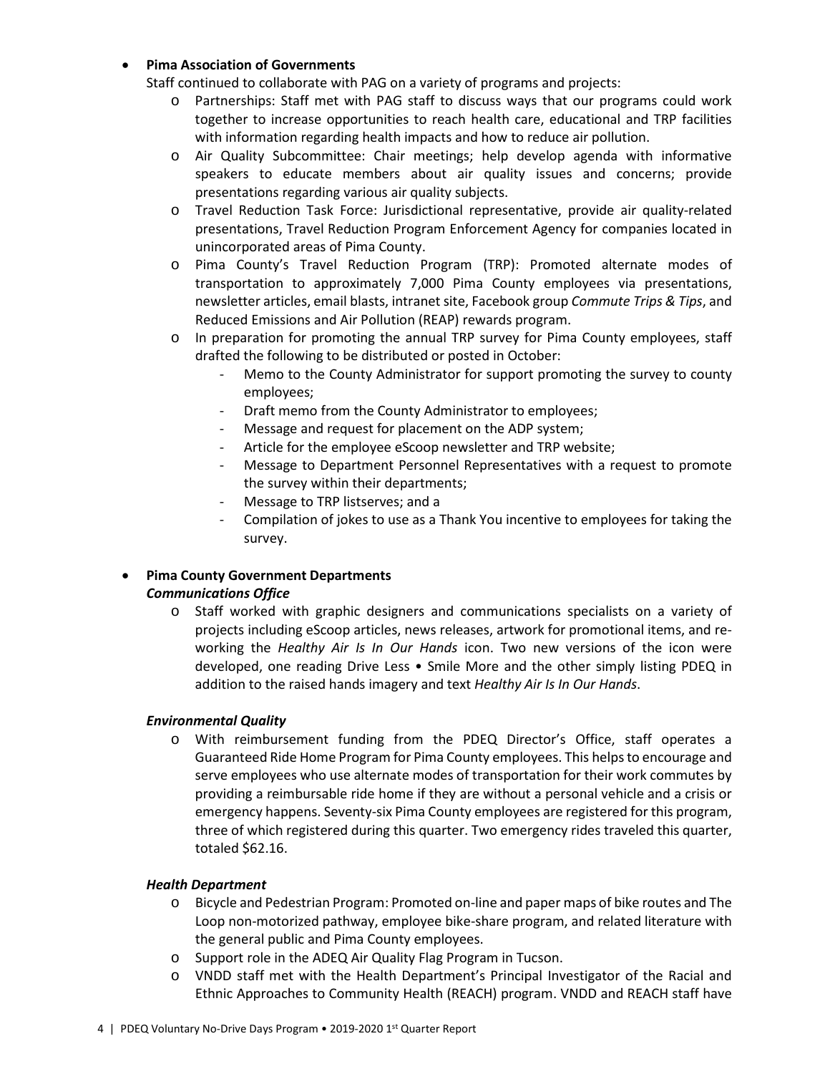# • **Pima Association of Governments**

Staff continued to collaborate with PAG on a variety of programs and projects:

- o Partnerships: Staff met with PAG staff to discuss ways that our programs could work together to increase opportunities to reach health care, educational and TRP facilities with information regarding health impacts and how to reduce air pollution.
- o Air Quality Subcommittee: Chair meetings; help develop agenda with informative speakers to educate members about air quality issues and concerns; provide presentations regarding various air quality subjects.
- o Travel Reduction Task Force: Jurisdictional representative, provide air quality-related presentations, Travel Reduction Program Enforcement Agency for companies located in unincorporated areas of Pima County.
- o Pima County's Travel Reduction Program (TRP): Promoted alternate modes of transportation to approximately 7,000 Pima County employees via presentations, newsletter articles, email blasts, intranet site, Facebook group *Commute Trips & Tips*, and Reduced Emissions and Air Pollution (REAP) rewards program.
- o In preparation for promoting the annual TRP survey for Pima County employees, staff drafted the following to be distributed or posted in October:
	- Memo to the County Administrator for support promoting the survey to county employees;
	- Draft memo from the County Administrator to employees;
	- Message and request for placement on the ADP system;
	- Article for the employee eScoop newsletter and TRP website;
	- Message to Department Personnel Representatives with a request to promote the survey within their departments;
	- Message to TRP listserves; and a
	- Compilation of jokes to use as a Thank You incentive to employees for taking the survey.

# • **Pima County Government Departments**  *Communications Office*

o Staff worked with graphic designers and communications specialists on a variety of projects including eScoop articles, news releases, artwork for promotional items, and reworking the *Healthy Air Is In Our Hands* icon. Two new versions of the icon were developed, one reading Drive Less • Smile More and the other simply listing PDEQ in addition to the raised hands imagery and text *Healthy Air Is In Our Hands*.

# *Environmental Quality*

o With reimbursement funding from the PDEQ Director's Office, staff operates a Guaranteed Ride Home Program for Pima County employees. This helps to encourage and serve employees who use alternate modes of transportation for their work commutes by providing a reimbursable ride home if they are without a personal vehicle and a crisis or emergency happens. Seventy-six Pima County employees are registered for this program, three of which registered during this quarter. Two emergency rides traveled this quarter, totaled \$62.16.

# *Health Department*

- o Bicycle and Pedestrian Program: Promoted on-line and paper maps of bike routes and The Loop non-motorized pathway, employee bike-share program, and related literature with the general public and Pima County employees.
- o Support role in the ADEQ Air Quality Flag Program in Tucson.
- o VNDD staff met with the Health Department's Principal Investigator of the Racial and Ethnic Approaches to Community Health (REACH) program. VNDD and REACH staff have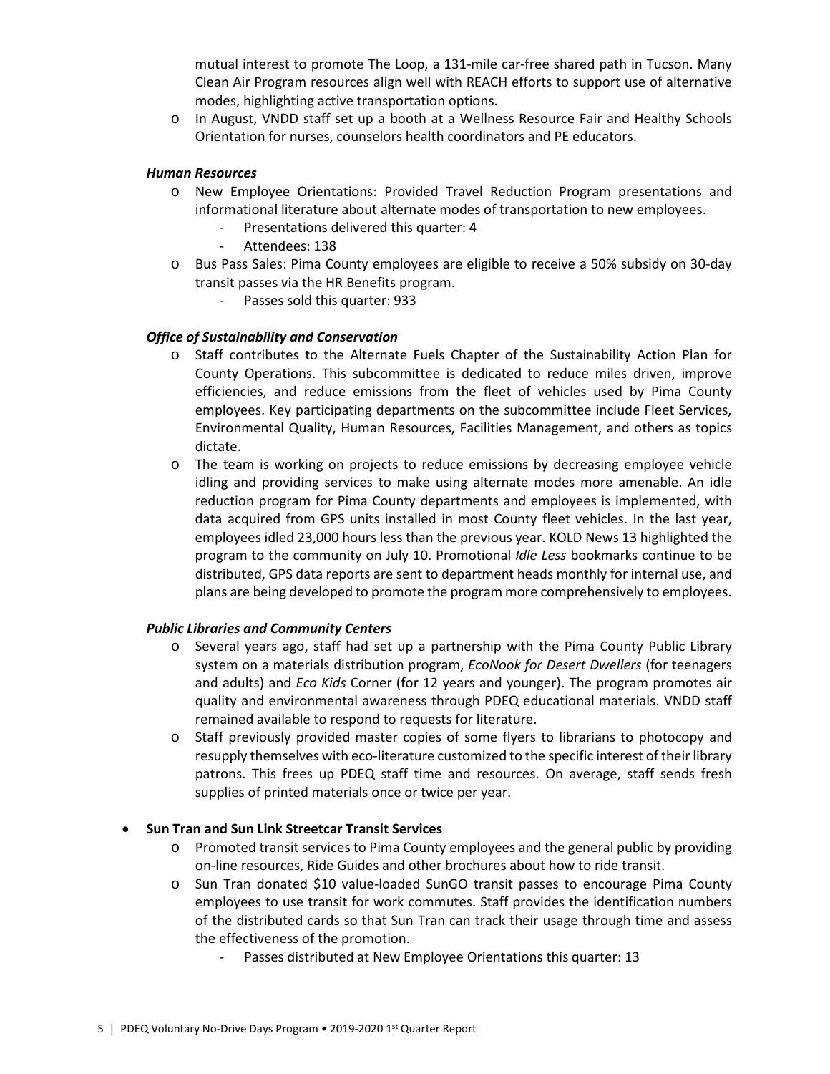mutual interest to promote The Loop, a 131-mile car-free shared path in Tucson. Many Clean Air Program resources align well with REACH efforts to support use of alternative modes, highlighting active transportation options.

o In August, VNDD staff set up a booth at a Wellness Resource Fair and Healthy Schools Orientation for nurses, counselors health coordinators and PE educators.

#### *Human Resources*

- o New Employee Orientations: Provided Travel Reduction Program presentations and informational literature about alternate modes of transportation to new employees.
	- Presentations delivered this quarter: 4
	- Attendees: 138
- o Bus Pass Sales: Pima County employees are eligible to receive a 50% subsidy on 30-day transit passes via the HR Benefits program.
	- Passes sold this quarter: 933

#### *Office of Sustainability and Conservation*

- o Staff contributes to the Alternate Fuels Chapter of the Sustainability Action Plan for County Operations. This subcommittee is dedicated to reduce miles driven, improve efficiencies, and reduce emissions from the fleet of vehicles used by Pima County employees. Key participating departments on the subcommittee include Fleet Services, Environmental Quality, Human Resources, Facilities Management, and others as topics dictate.
- o The team is working on projects to reduce emissions by decreasing employee vehicle idling and providing services to make using alternate modes more amenable. An idle reduction program for Pima County departments and employees is implemented, with data acquired from GPS units installed in most County fleet vehicles. In the last year, employees idled 23,000 hours less than the previous year. KOLD News 13 highlighted the program to the community on July 10. Promotional *Idle Less* bookmarks continue to be distributed, GPS data reports are sent to department heads monthly for internal use, and plans are being developed to promote the program more comprehensively to employees.

# *Public Libraries and Community Centers*

- o Several years ago, staff had set up a partnership with the Pima County Public Library system on a materials distribution program, *EcoNook for Desert Dwellers* (for teenagers and adults) and *Eco Kids* Corner (for 12 years and younger). The program promotes air quality and environmental awareness through PDEQ educational materials. VNDD staff remained available to respond to requests for literature.
- o Staff previously provided master copies of some flyers to librarians to photocopy and resupply themselves with eco-literature customized to the specific interest of their library patrons. This frees up PDEQ staff time and resources. On average, staff sends fresh supplies of printed materials once or twice per year.

# • **Sun Tran and Sun Link Streetcar Transit Services**

- o Promoted transit services to Pima County employees and the general public by providing on-line resources, Ride Guides and other brochures about how to ride transit.
- o Sun Tran donated \$10 value-loaded SunGO transit passes to encourage Pima County employees to use transit for work commutes. Staff provides the identification numbers of the distributed cards so that Sun Tran can track their usage through time and assess the effectiveness of the promotion.
	- Passes distributed at New Employee Orientations this quarter: 13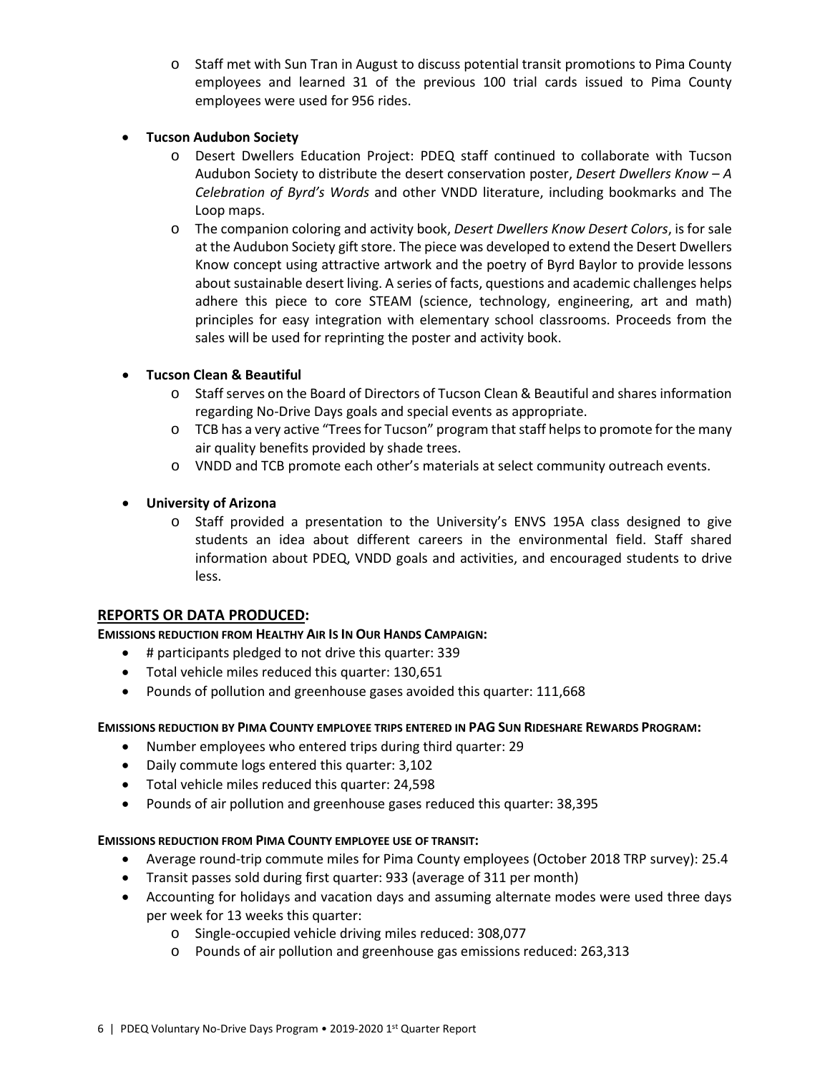o Staff met with Sun Tran in August to discuss potential transit promotions to Pima County employees and learned 31 of the previous 100 trial cards issued to Pima County employees were used for 956 rides.

# • **Tucson Audubon Society**

- o Desert Dwellers Education Project: PDEQ staff continued to collaborate with Tucson Audubon Society to distribute the desert conservation poster, *Desert Dwellers Know – A Celebration of Byrd's Words* and other VNDD literature, including bookmarks and The Loop maps.
- o The companion coloring and activity book, *Desert Dwellers Know Desert Colors*, is for sale at the Audubon Society gift store. The piece was developed to extend the Desert Dwellers Know concept using attractive artwork and the poetry of Byrd Baylor to provide lessons about sustainable desert living. A series of facts, questions and academic challenges helps adhere this piece to core STEAM (science, technology, engineering, art and math) principles for easy integration with elementary school classrooms. Proceeds from the sales will be used for reprinting the poster and activity book.

# • **Tucson Clean & Beautiful**

- o Staff serves on the Board of Directors of Tucson Clean & Beautiful and shares information regarding No-Drive Days goals and special events as appropriate.
- o TCB has a very active "Trees for Tucson" program that staff helps to promote for the many air quality benefits provided by shade trees.
- o VNDD and TCB promote each other's materials at select community outreach events.

# • **University of Arizona**

o Staff provided a presentation to the University's ENVS 195A class designed to give students an idea about different careers in the environmental field. Staff shared information about PDEQ, VNDD goals and activities, and encouraged students to drive less.

# **REPORTS OR DATA PRODUCED:**

# **EMISSIONS REDUCTION FROM HEALTHY AIR IS IN OUR HANDS CAMPAIGN:**

- # participants pledged to not drive this quarter: 339
- Total vehicle miles reduced this quarter: 130,651
- Pounds of pollution and greenhouse gases avoided this quarter: 111,668

# **EMISSIONS REDUCTION BY PIMA COUNTY EMPLOYEE TRIPS ENTERED IN PAG SUN RIDESHARE REWARDS PROGRAM:**

- Number employees who entered trips during third quarter: 29
- Daily commute logs entered this quarter: 3,102
- Total vehicle miles reduced this quarter: 24,598
- Pounds of air pollution and greenhouse gases reduced this quarter: 38,395

# **EMISSIONS REDUCTION FROM PIMA COUNTY EMPLOYEE USE OF TRANSIT:**

- Average round-trip commute miles for Pima County employees (October 2018 TRP survey): 25.4
- Transit passes sold during first quarter: 933 (average of 311 per month)
- Accounting for holidays and vacation days and assuming alternate modes were used three days per week for 13 weeks this quarter:
	- o Single-occupied vehicle driving miles reduced: 308,077
	- o Pounds of air pollution and greenhouse gas emissions reduced: 263,313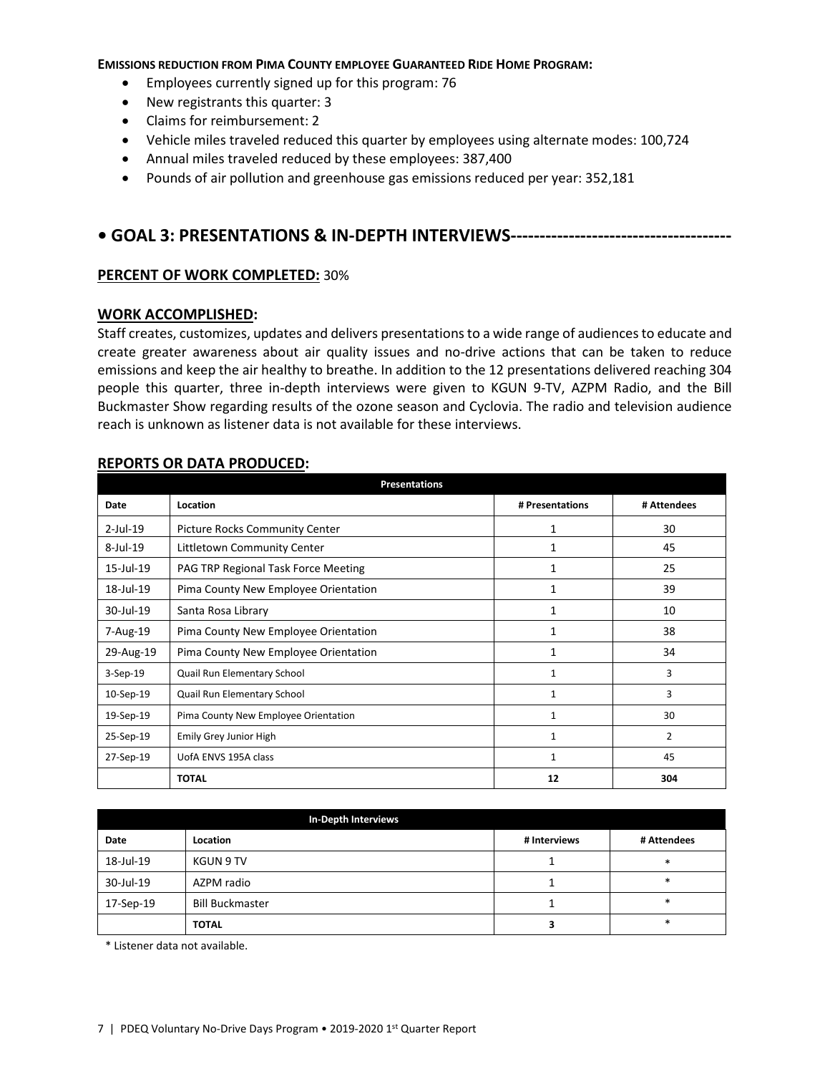#### **EMISSIONS REDUCTION FROM PIMA COUNTY EMPLOYEE GUARANTEED RIDE HOME PROGRAM:**

- Employees currently signed up for this program: 76
- New registrants this quarter: 3
- Claims for reimbursement: 2
- Vehicle miles traveled reduced this quarter by employees using alternate modes: 100,724
- Annual miles traveled reduced by these employees: 387,400
- Pounds of air pollution and greenhouse gas emissions reduced per year: 352,181

# **• GOAL 3: PRESENTATIONS & IN-DEPTH INTERVIEWS--------------------------------------**

# **PERCENT OF WORK COMPLETED:** 30%

#### **WORK ACCOMPLISHED:**

Staff creates, customizes, updates and delivers presentations to a wide range of audiences to educate and create greater awareness about air quality issues and no-drive actions that can be taken to reduce emissions and keep the air healthy to breathe. In addition to the 12 presentations delivered reaching 304 people this quarter, three in-depth interviews were given to KGUN 9-TV, AZPM Radio, and the Bill Buckmaster Show regarding results of the ozone season and Cyclovia. The radio and television audience reach is unknown as listener data is not available for these interviews.

#### **REPORTS OR DATA PRODUCED:**

|             | <b>Presentations</b>                           |                 |                |  |  |
|-------------|------------------------------------------------|-----------------|----------------|--|--|
| Date        | Location                                       | # Presentations | # Attendees    |  |  |
| $2$ -Jul-19 | <b>Picture Rocks Community Center</b>          | 1               | 30             |  |  |
| 8-Jul-19    | Littletown Community Center                    | 1               | 45             |  |  |
| 15-Jul-19   | 25<br>PAG TRP Regional Task Force Meeting<br>1 |                 |                |  |  |
| 18-Jul-19   | Pima County New Employee Orientation           | 1               | 39             |  |  |
| 30-Jul-19   | Santa Rosa Library<br>1                        |                 | 10             |  |  |
| 7-Aug-19    | Pima County New Employee Orientation           | 1               | 38             |  |  |
| 29-Aug-19   | Pima County New Employee Orientation           | $\mathbf{1}$    | 34             |  |  |
| 3-Sep-19    | Quail Run Elementary School                    | 1               | 3              |  |  |
| 10-Sep-19   | Quail Run Elementary School                    | 1               | 3              |  |  |
| 19-Sep-19   | Pima County New Employee Orientation           | $\mathbf{1}$    | 30             |  |  |
| 25-Sep-19   | Emily Grey Junior High                         | $\mathbf{1}$    | $\overline{2}$ |  |  |
| 27-Sep-19   | UofA ENVS 195A class<br>1                      |                 | 45             |  |  |
|             | <b>TOTAL</b>                                   | 12              | 304            |  |  |

|           | In-Depth Interviews    |              |             |
|-----------|------------------------|--------------|-------------|
| Date      | Location               | # Interviews | # Attendees |
| 18-Jul-19 | <b>KGUN 9 TV</b>       |              | $\ast$      |
| 30-Jul-19 | AZPM radio             |              | $\ast$      |
| 17-Sep-19 | <b>Bill Buckmaster</b> |              | $\ast$      |
|           | <b>TOTAL</b>           |              | $\ast$      |

\* Listener data not available.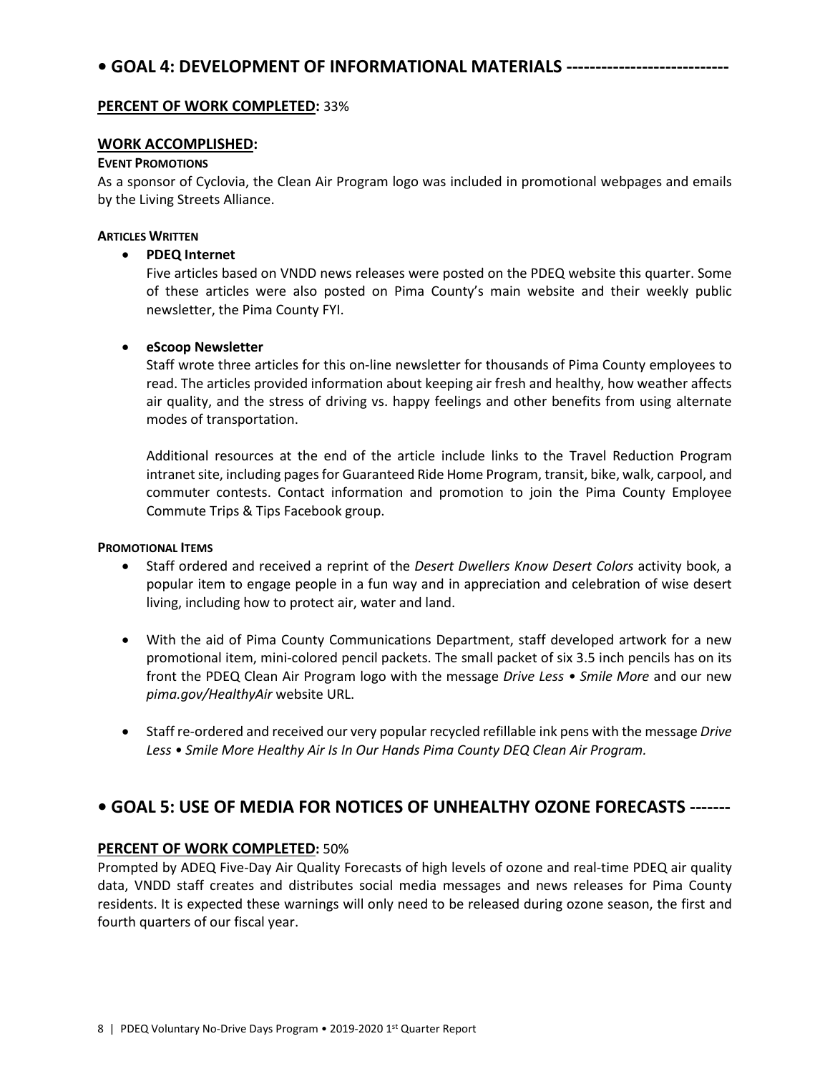# **PERCENT OF WORK COMPLETED:** 33%

# **WORK ACCOMPLISHED:**

#### **EVENT PROMOTIONS**

As a sponsor of Cyclovia, the Clean Air Program logo was included in promotional webpages and emails by the Living Streets Alliance.

#### **ARTICLES WRITTEN**

# • **PDEQ Internet**

Five articles based on VNDD news releases were posted on the PDEQ website this quarter. Some of these articles were also posted on Pima County's main website and their weekly public newsletter, the Pima County FYI.

# • **eScoop Newsletter**

Staff wrote three articles for this on-line newsletter for thousands of Pima County employees to read. The articles provided information about keeping air fresh and healthy, how weather affects air quality, and the stress of driving vs. happy feelings and other benefits from using alternate modes of transportation.

Additional resources at the end of the article include links to the Travel Reduction Program intranet site, including pages for Guaranteed Ride Home Program, transit, bike, walk, carpool, and commuter contests. Contact information and promotion to join the Pima County Employee Commute Trips & Tips Facebook group.

# **PROMOTIONAL ITEMS**

- Staff ordered and received a reprint of the *Desert Dwellers Know Desert Colors* activity book, a popular item to engage people in a fun way and in appreciation and celebration of wise desert living, including how to protect air, water and land.
- With the aid of Pima County Communications Department, staff developed artwork for a new promotional item, mini-colored pencil packets. The small packet of six 3.5 inch pencils has on its front the PDEQ Clean Air Program logo with the message *Drive Less • Smile More* and our new *pima.gov/HealthyAir* website URL.
- Staff re-ordered and received our very popular recycled refillable ink pens with the message *Drive Less • Smile More Healthy Air Is In Our Hands Pima County DEQ Clean Air Program.*

# **• GOAL 5: USE OF MEDIA FOR NOTICES OF UNHEALTHY OZONE FORECASTS -------**

# **PERCENT OF WORK COMPLETED:** 50%

Prompted by ADEQ Five-Day Air Quality Forecasts of high levels of ozone and real-time PDEQ air quality data, VNDD staff creates and distributes social media messages and news releases for Pima County residents. It is expected these warnings will only need to be released during ozone season, the first and fourth quarters of our fiscal year.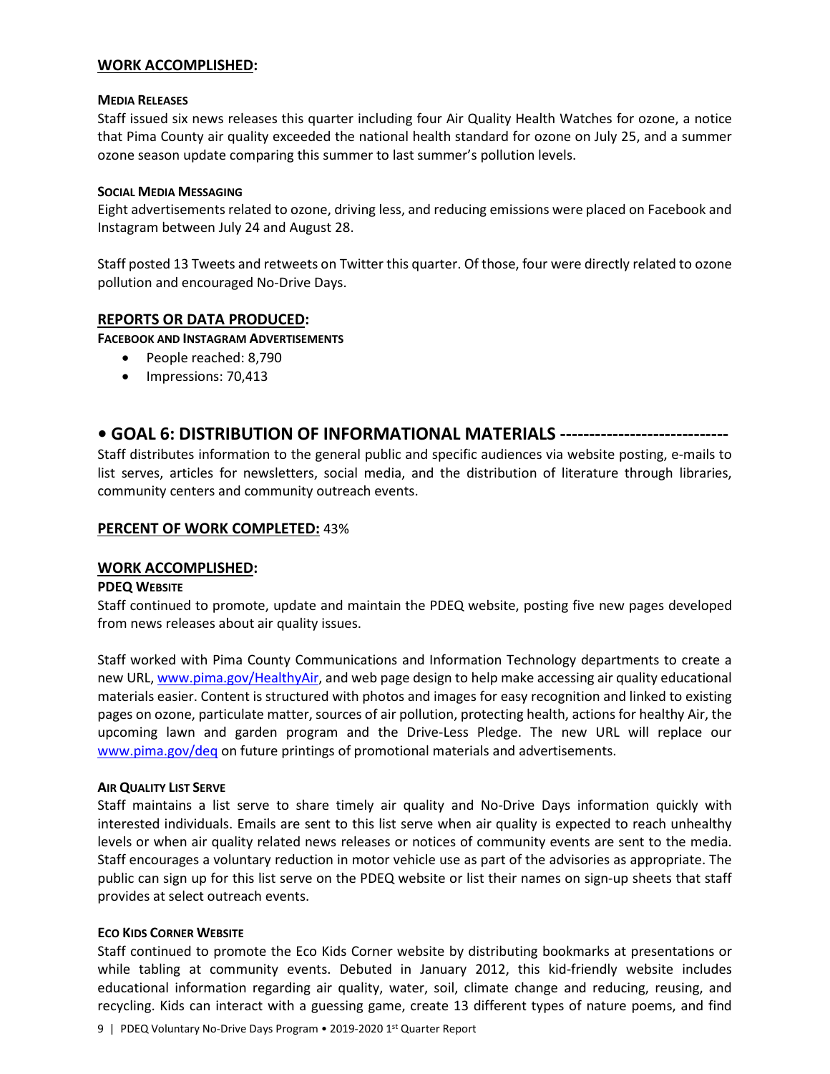#### **WORK ACCOMPLISHED:**

#### **MEDIA RELEASES**

Staff issued six news releases this quarter including four Air Quality Health Watches for ozone, a notice that Pima County air quality exceeded the national health standard for ozone on July 25, and a summer ozone season update comparing this summer to last summer's pollution levels.

#### **SOCIAL MEDIA MESSAGING**

Eight advertisements related to ozone, driving less, and reducing emissions were placed on Facebook and Instagram between July 24 and August 28.

Staff posted 13 Tweets and retweets on Twitter this quarter. Of those, four were directly related to ozone pollution and encouraged No-Drive Days.

# **REPORTS OR DATA PRODUCED:**

**FACEBOOK AND INSTAGRAM ADVERTISEMENTS**

- People reached: 8,790
- Impressions: 70,413

# **• GOAL 6: DISTRIBUTION OF INFORMATIONAL MATERIALS -----------------------------**

Staff distributes information to the general public and specific audiences via website posting, e-mails to list serves, articles for newsletters, social media, and the distribution of literature through libraries, community centers and community outreach events.

# **PERCENT OF WORK COMPLETED:** 43%

#### **WORK ACCOMPLISHED:**

#### **PDEQ WEBSITE**

Staff continued to promote, update and maintain the PDEQ website, posting five new pages developed from news releases about air quality issues.

Staff worked with Pima County Communications and Information Technology departments to create a new URL, [www.pima.gov/HealthyAir,](http://www.pima.gov/HealthyAir) and web page design to help make accessing air quality educational materials easier. Content is structured with photos and images for easy recognition and linked to existing pages on ozone, particulate matter, sources of air pollution, protecting health, actions for healthy Air, the upcoming lawn and garden program and the Drive-Less Pledge. The new URL will replace our [www.pima.gov/deq](http://www.pima.gov/deq) on future printings of promotional materials and advertisements.

#### **AIR QUALITY LIST SERVE**

Staff maintains a list serve to share timely air quality and No-Drive Days information quickly with interested individuals. Emails are sent to this list serve when air quality is expected to reach unhealthy levels or when air quality related news releases or notices of community events are sent to the media. Staff encourages a voluntary reduction in motor vehicle use as part of the advisories as appropriate. The public can sign up for this list serve on the PDEQ website or list their names on sign-up sheets that staff provides at select outreach events.

#### **ECO KIDS CORNER WEBSITE**

Staff continued to promote the Eco Kids Corner website by distributing bookmarks at presentations or while tabling at community events. Debuted in January 2012, this kid-friendly website includes educational information regarding air quality, water, soil, climate change and reducing, reusing, and recycling. Kids can interact with a guessing game, create 13 different types of nature poems, and find

9 | PDEQ Voluntary No-Drive Days Program • 2019-2020 1st Quarter Report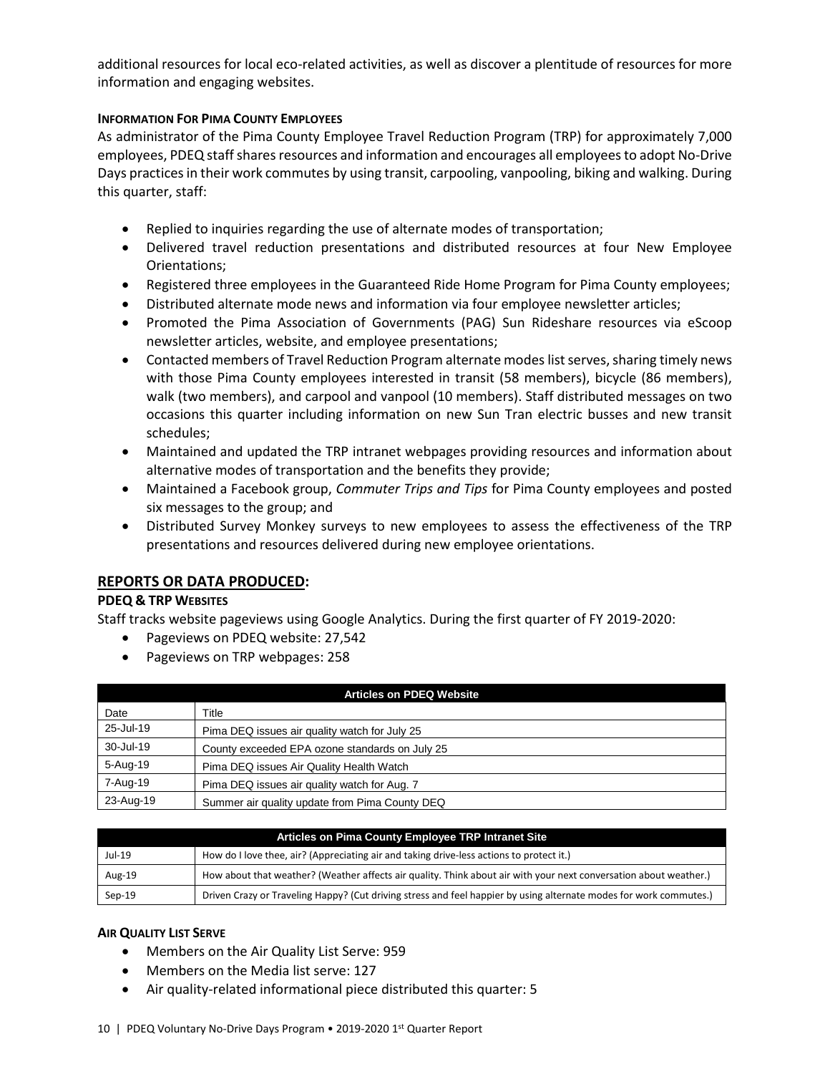additional resources for local eco-related activities, as well as discover a plentitude of resources for more information and engaging websites.

# **INFORMATION FOR PIMA COUNTY EMPLOYEES**

As administrator of the Pima County Employee Travel Reduction Program (TRP) for approximately 7,000 employees, PDEQ staffshares resources and information and encourages all employees to adopt No-Drive Days practices in their work commutes by using transit, carpooling, vanpooling, biking and walking. During this quarter, staff:

- Replied to inquiries regarding the use of alternate modes of transportation;
- Delivered travel reduction presentations and distributed resources at four New Employee Orientations;
- Registered three employees in the Guaranteed Ride Home Program for Pima County employees;
- Distributed alternate mode news and information via four employee newsletter articles;
- Promoted the Pima Association of Governments (PAG) Sun Rideshare resources via eScoop newsletter articles, website, and employee presentations;
- Contacted members of Travel Reduction Program alternate modes list serves, sharing timely news with those Pima County employees interested in transit (58 members), bicycle (86 members), walk (two members), and carpool and vanpool (10 members). Staff distributed messages on two occasions this quarter including information on new Sun Tran electric busses and new transit schedules;
- Maintained and updated the TRP intranet webpages providing resources and information about alternative modes of transportation and the benefits they provide;
- Maintained a Facebook group, *Commuter Trips and Tips* for Pima County employees and posted six messages to the group; and
- Distributed Survey Monkey surveys to new employees to assess the effectiveness of the TRP presentations and resources delivered during new employee orientations.

# **REPORTS OR DATA PRODUCED:**

#### **PDEQ & TRP WEBSITES**

Staff tracks website pageviews using Google Analytics. During the first quarter of FY 2019-2020:

- Pageviews on PDEQ website: 27,542
- Pageviews on TRP webpages: 258

| <b>Articles on PDEQ Website</b> |                                                |  |  |
|---------------------------------|------------------------------------------------|--|--|
| Date                            | Title                                          |  |  |
| 25-Jul-19                       | Pima DEQ issues air quality watch for July 25  |  |  |
| 30-Jul-19                       | County exceeded EPA ozone standards on July 25 |  |  |
| 5-Aug-19                        | Pima DEQ issues Air Quality Health Watch       |  |  |
| 7-Aug-19                        | Pima DEQ issues air quality watch for Aug. 7   |  |  |
| 23-Aug-19                       | Summer air quality update from Pima County DEQ |  |  |

| Articles on Pima County Employee TRP Intranet Site |                                                                                                                    |  |  |
|----------------------------------------------------|--------------------------------------------------------------------------------------------------------------------|--|--|
| Jul-19                                             | How do I love thee, air? (Appreciating air and taking drive-less actions to protect it.)                           |  |  |
| Aug-19                                             | How about that weather? (Weather affects air quality. Think about air with your next conversation about weather.)  |  |  |
| $Sep-19$                                           | Driven Crazy or Traveling Happy? (Cut driving stress and feel happier by using alternate modes for work commutes.) |  |  |

# **AIR QUALITY LIST SERVE**

- Members on the Air Quality List Serve: 959
- Members on the Media list serve: 127
- Air quality-related informational piece distributed this quarter: 5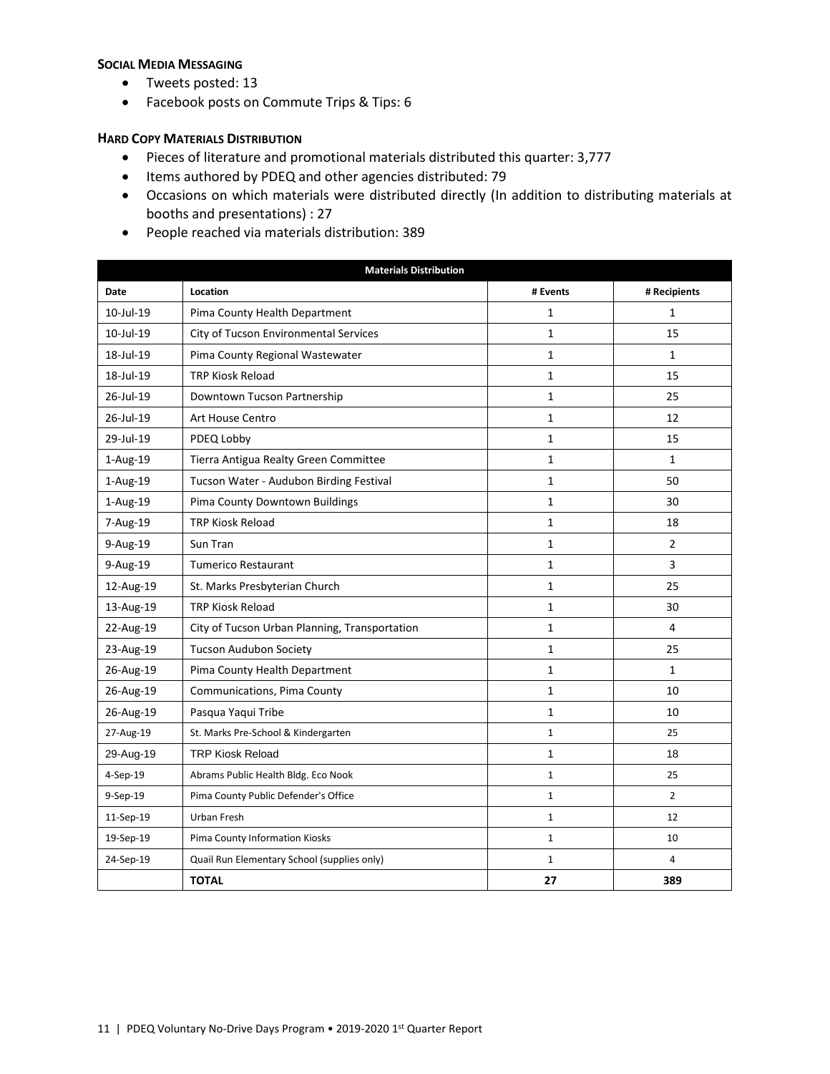#### **SOCIAL MEDIA MESSAGING**

- Tweets posted: 13
- Facebook posts on Commute Trips & Tips: 6

#### **HARD COPY MATERIALS DISTRIBUTION**

- Pieces of literature and promotional materials distributed this quarter: 3,777
- Items authored by PDEQ and other agencies distributed: 79
- Occasions on which materials were distributed directly (In addition to distributing materials at booths and presentations) : 27
- People reached via materials distribution: 389

| <b>Materials Distribution</b> |                                               |              |                |  |
|-------------------------------|-----------------------------------------------|--------------|----------------|--|
| <b>Date</b>                   | Location                                      | # Events     | # Recipients   |  |
| 10-Jul-19                     | Pima County Health Department                 | $\mathbf 1$  | 1              |  |
| 10-Jul-19                     | City of Tucson Environmental Services         | $\mathbf{1}$ | 15             |  |
| 18-Jul-19                     | Pima County Regional Wastewater               | $\mathbf 1$  | 1              |  |
| 18-Jul-19                     | <b>TRP Kiosk Reload</b>                       | $\mathbf 1$  | 15             |  |
| 26-Jul-19                     | Downtown Tucson Partnership                   | $\mathbf{1}$ | 25             |  |
| 26-Jul-19                     | Art House Centro                              | $\mathbf 1$  | 12             |  |
| 29-Jul-19                     | PDEQ Lobby                                    | 1            | 15             |  |
| 1-Aug-19                      | Tierra Antigua Realty Green Committee         | $\mathbf{1}$ | 1              |  |
| $1-Aug-19$                    | Tucson Water - Audubon Birding Festival       | $\mathbf 1$  | 50             |  |
| 1-Aug-19                      | Pima County Downtown Buildings                | $\mathbf{1}$ | 30             |  |
| 7-Aug-19                      | <b>TRP Kiosk Reload</b>                       | 1            | 18             |  |
| 9-Aug-19                      | Sun Tran                                      | $\mathbf{1}$ | $\overline{2}$ |  |
| 9-Aug-19                      | <b>Tumerico Restaurant</b>                    | $\mathbf 1$  | 3              |  |
| 12-Aug-19                     | St. Marks Presbyterian Church                 | 1            | 25             |  |
| 13-Aug-19                     | <b>TRP Kiosk Reload</b>                       | $\mathbf{1}$ | 30             |  |
| 22-Aug-19                     | City of Tucson Urban Planning, Transportation | 1            | 4              |  |
| 23-Aug-19                     | <b>Tucson Audubon Society</b>                 | $\mathbf 1$  | 25             |  |
| 26-Aug-19                     | Pima County Health Department                 | 1            | $\mathbf{1}$   |  |
| 26-Aug-19                     | Communications, Pima County                   | $\mathbf{1}$ | 10             |  |
| 26-Aug-19                     | Pasqua Yaqui Tribe                            | 1            | 10             |  |
| 27-Aug-19                     | St. Marks Pre-School & Kindergarten           | $\mathbf{1}$ | 25             |  |
| 29-Aug-19                     | <b>TRP Kiosk Reload</b>                       | 1            | 18             |  |
| 4-Sep-19                      | Abrams Public Health Bldg. Eco Nook           | $\mathbf{1}$ | 25             |  |
| 9-Sep-19                      | Pima County Public Defender's Office          | $\mathbf{1}$ | $\overline{2}$ |  |
| 11-Sep-19                     | Urban Fresh                                   | $\mathbf{1}$ | 12             |  |
| 19-Sep-19                     | Pima County Information Kiosks                | $\mathbf{1}$ | 10             |  |
| 24-Sep-19                     | Quail Run Elementary School (supplies only)   | $\mathbf{1}$ | 4              |  |
|                               | <b>TOTAL</b>                                  | 27           | 389            |  |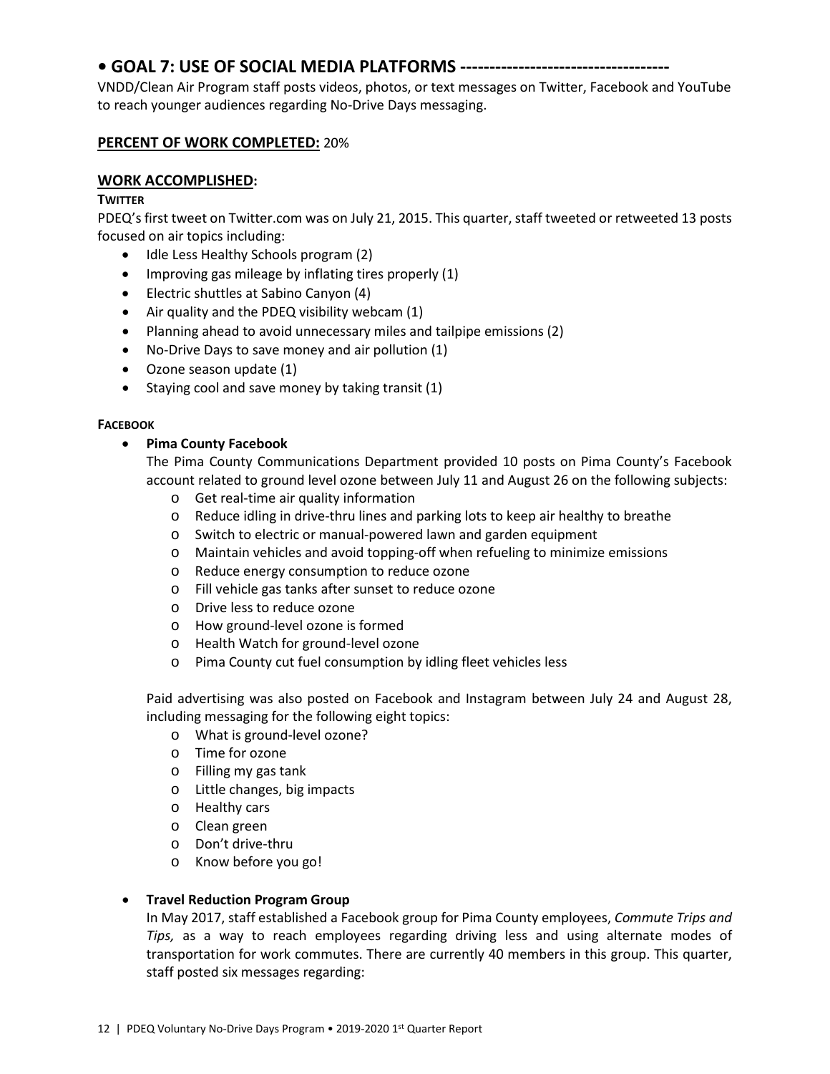# **• GOAL 7: USE OF SOCIAL MEDIA PLATFORMS ------------------------------------**

VNDD/Clean Air Program staff posts videos, photos, or text messages on Twitter, Facebook and YouTube to reach younger audiences regarding No-Drive Days messaging.

# **PERCENT OF WORK COMPLETED:** 20%

# **WORK ACCOMPLISHED:**

# **TWITTER**

PDEQ's first tweet on Twitter.com was on July 21, 2015. This quarter, staff tweeted or retweeted 13 posts focused on air topics including:

- Idle Less Healthy Schools program (2)
- Improving gas mileage by inflating tires properly (1)
- Electric shuttles at Sabino Canyon (4)
- Air quality and the PDEQ visibility webcam (1)
- Planning ahead to avoid unnecessary miles and tailpipe emissions (2)
- No-Drive Days to save money and air pollution (1)
- Ozone season update (1)
- Staying cool and save money by taking transit (1)

#### **FACEBOOK**

# • **Pima County Facebook**

The Pima County Communications Department provided 10 posts on Pima County's Facebook account related to ground level ozone between July 11 and August 26 on the following subjects:

- o Get real-time air quality information
- o Reduce idling in drive-thru lines and parking lots to keep air healthy to breathe
- o Switch to electric or manual-powered lawn and garden equipment
- o Maintain vehicles and avoid topping-off when refueling to minimize emissions
- o Reduce energy consumption to reduce ozone
- o Fill vehicle gas tanks after sunset to reduce ozone
- o Drive less to reduce ozone
- o How ground-level ozone is formed
- o Health Watch for ground-level ozone
- o Pima County cut fuel consumption by idling fleet vehicles less

Paid advertising was also posted on Facebook and Instagram between July 24 and August 28, including messaging for the following eight topics:

- o What is ground-level ozone?
- o Time for ozone
- o Filling my gas tank
- o Little changes, big impacts
- o Healthy cars
- o Clean green
- o Don't drive-thru
- o Know before you go!

# • **Travel Reduction Program Group**

In May 2017, staff established a Facebook group for Pima County employees, *Commute Trips and Tips,* as a way to reach employees regarding driving less and using alternate modes of transportation for work commutes. There are currently 40 members in this group. This quarter, staff posted six messages regarding: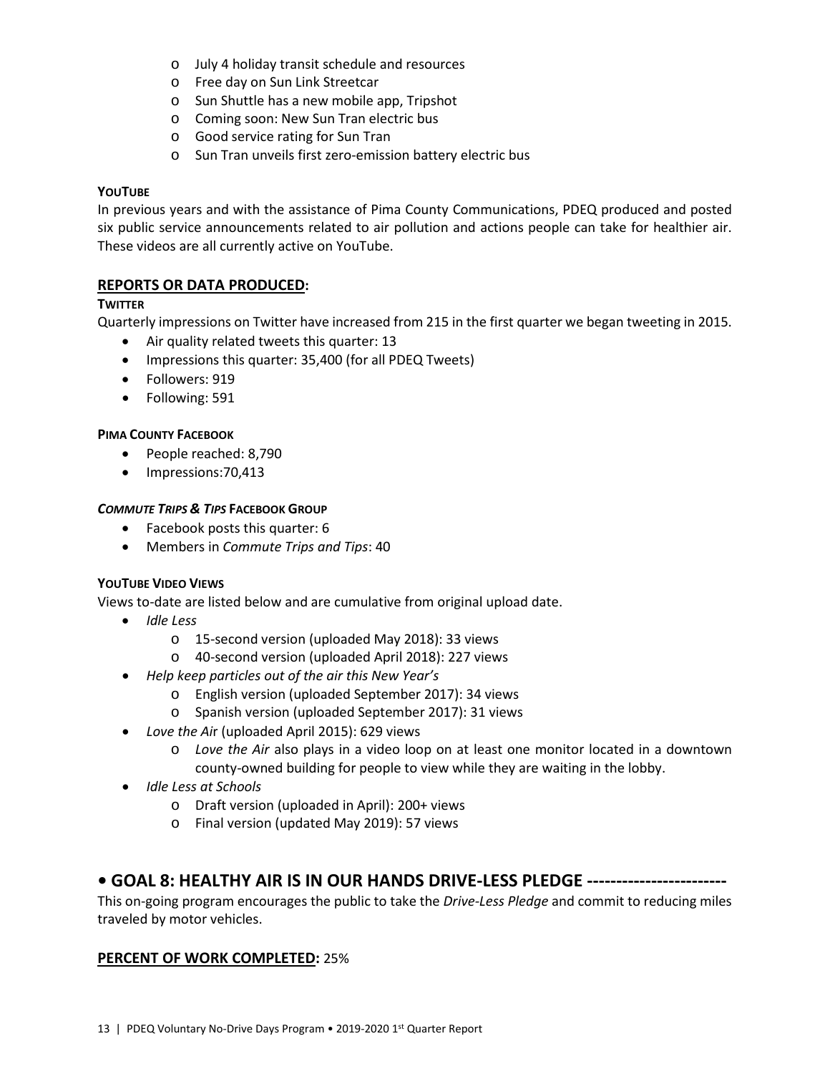- o July 4 holiday transit schedule and resources
- o Free day on Sun Link Streetcar
- o Sun Shuttle has a new mobile app, Tripshot
- o Coming soon: New Sun Tran electric bus
- o Good service rating for Sun Tran
- o Sun Tran unveils first zero-emission battery electric bus

#### **YOUTUBE**

In previous years and with the assistance of Pima County Communications, PDEQ produced and posted six public service announcements related to air pollution and actions people can take for healthier air. These videos are all currently active on YouTube.

# **REPORTS OR DATA PRODUCED:**

#### **TWITTER**

Quarterly impressions on Twitter have increased from 215 in the first quarter we began tweeting in 2015.

- Air quality related tweets this quarter: 13
- Impressions this quarter: 35,400 (for all PDEQ Tweets)
- Followers: 919
- Following: 591

#### **PIMA COUNTY FACEBOOK**

- People reached: 8,790
- Impressions: 70,413

#### *COMMUTE TRIPS & TIPS* **FACEBOOK GROUP**

- Facebook posts this quarter: 6
- Members in *Commute Trips and Tips*: 40

# **YOUTUBE VIDEO VIEWS**

Views to-date are listed below and are cumulative from original upload date.

- *Idle Less*
	- o 15-second version (uploaded May 2018): 33 views
	- o 40-second version (uploaded April 2018): 227 views
- *Help keep particles out of the air this New Year's* 
	- o English version (uploaded September 2017): 34 views
	- o Spanish version (uploaded September 2017): 31 views
- *Love the Ai*r (uploaded April 2015): 629 views
	- o *Love the Air* also plays in a video loop on at least one monitor located in a downtown county-owned building for people to view while they are waiting in the lobby.
- *Idle Less at Schools*
	- o Draft version (uploaded in April): 200+ views
	- o Final version (updated May 2019): 57 views

# **• GOAL 8: HEALTHY AIR IS IN OUR HANDS DRIVE-LESS PLEDGE ------------------------**

This on-going program encourages the public to take the *Drive-Less Pledge* and commit to reducing miles traveled by motor vehicles.

#### **PERCENT OF WORK COMPLETED:** 25%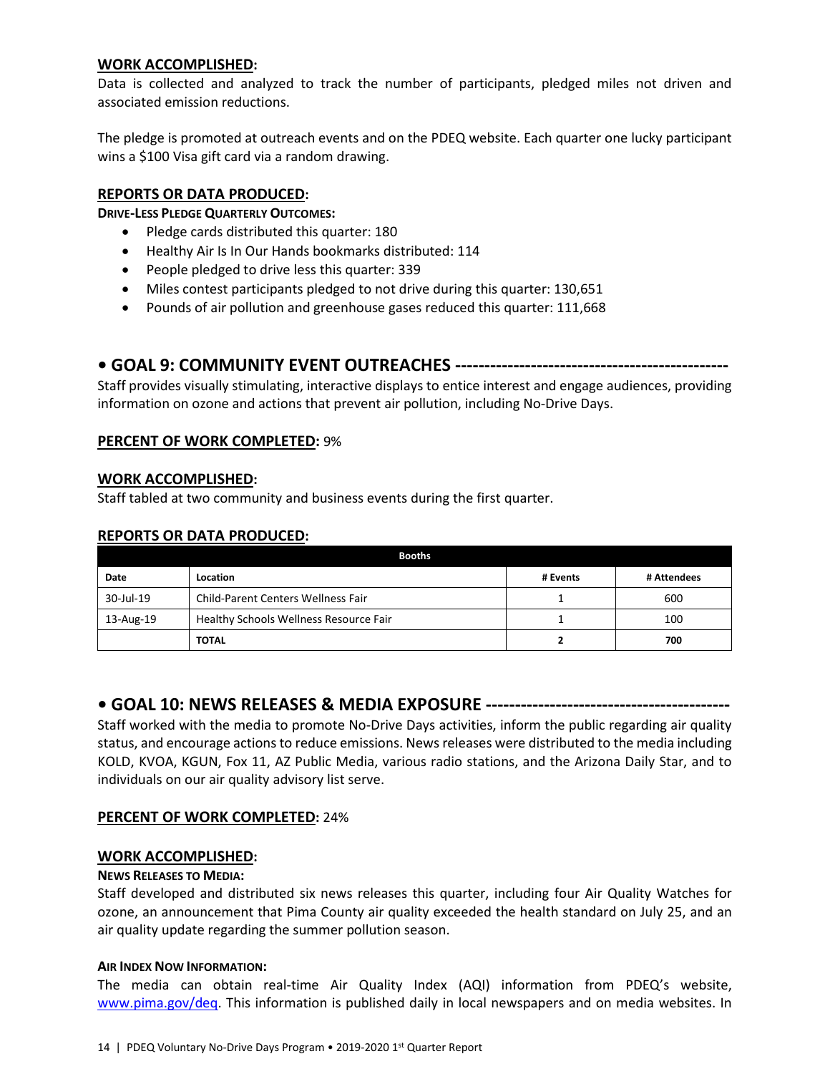# **WORK ACCOMPLISHED:**

Data is collected and analyzed to track the number of participants, pledged miles not driven and associated emission reductions.

The pledge is promoted at outreach events and on the PDEQ website. Each quarter one lucky participant wins a \$100 Visa gift card via a random drawing.

# **REPORTS OR DATA PRODUCED:**

**DRIVE-LESS PLEDGE QUARTERLY OUTCOMES:**

- Pledge cards distributed this quarter: 180
- Healthy Air Is In Our Hands bookmarks distributed: 114
- People pledged to drive less this quarter: 339
- Miles contest participants pledged to not drive during this quarter: 130,651
- Pounds of air pollution and greenhouse gases reduced this quarter: 111,668

# **• GOAL 9: COMMUNITY EVENT OUTREACHES -----------------------------------------------**

Staff provides visually stimulating, interactive displays to entice interest and engage audiences, providing information on ozone and actions that prevent air pollution, including No-Drive Days.

#### **PERCENT OF WORK COMPLETED:** 9%

#### **WORK ACCOMPLISHED:**

Staff tabled at two community and business events during the first quarter.

#### **REPORTS OR DATA PRODUCED:**

| <b>Booths</b> |                                        |          |             |  |  |
|---------------|----------------------------------------|----------|-------------|--|--|
| Date          | Location                               | # Events | # Attendees |  |  |
| 30-Jul-19     | Child-Parent Centers Wellness Fair     |          | 600         |  |  |
| 13-Aug-19     | Healthy Schools Wellness Resource Fair |          | 100         |  |  |
|               | <b>TOTAL</b>                           | ▴        | 700         |  |  |

#### **• GOAL 10: NEWS RELEASES & MEDIA EXPOSURE ------------------------------------------**

Staff worked with the media to promote No-Drive Days activities, inform the public regarding air quality status, and encourage actions to reduce emissions. News releases were distributed to the media including KOLD, KVOA, KGUN, Fox 11, AZ Public Media, various radio stations, and the Arizona Daily Star, and to individuals on our air quality advisory list serve.

#### **PERCENT OF WORK COMPLETED:** 24%

#### **WORK ACCOMPLISHED:**

#### **NEWS RELEASES TO MEDIA:**

Staff developed and distributed six news releases this quarter, including four Air Quality Watches for ozone, an announcement that Pima County air quality exceeded the health standard on July 25, and an air quality update regarding the summer pollution season.

#### **AIR INDEX NOW INFORMATION:**

The media can obtain real-time Air Quality Index (AQI) information from PDEQ's website, [www.pima.gov/deq.](http://www.pima.gov/deq) This information is published daily in local newspapers and on media websites. In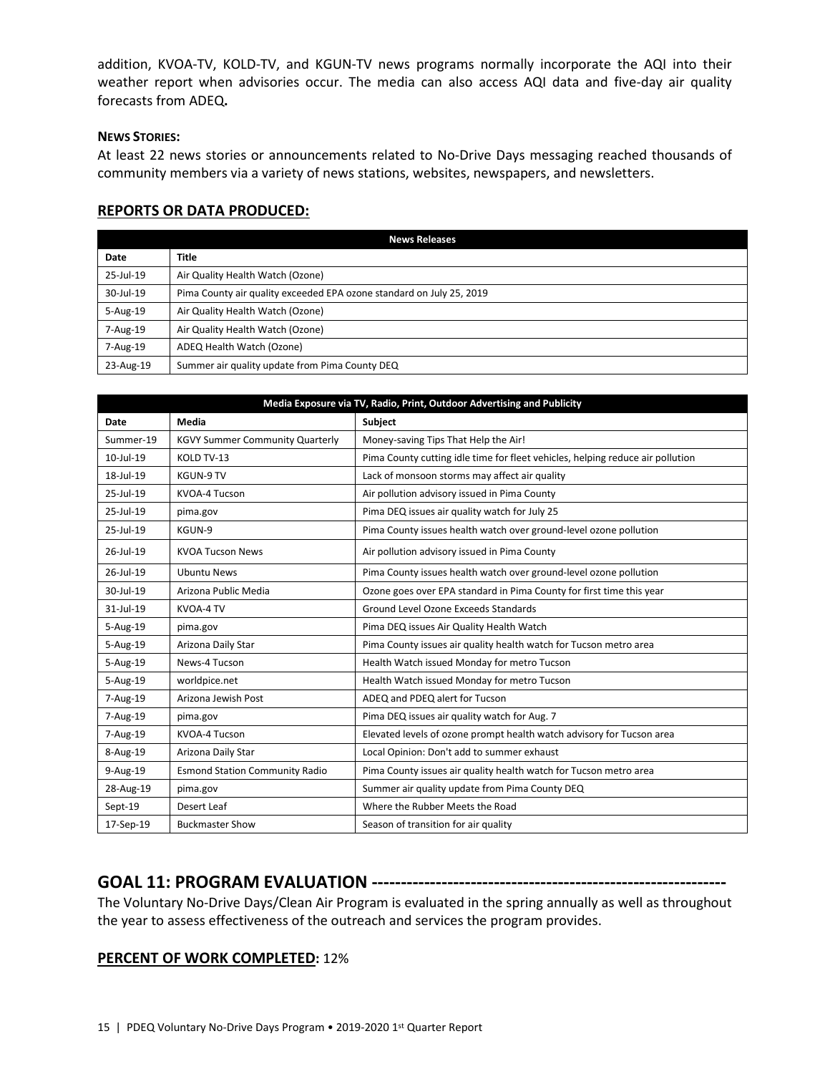addition, KVOA-TV, KOLD-TV, and KGUN-TV news programs normally incorporate the AQI into their weather report when advisories occur. The media can also access AQI data and five-day air quality forecasts from ADEQ**.**

#### **NEWS STORIES:**

At least 22 news stories or announcements related to No-Drive Days messaging reached thousands of community members via a variety of news stations, websites, newspapers, and newsletters.

# **REPORTS OR DATA PRODUCED:**

| <b>News Releases</b> |                                                                      |  |  |
|----------------------|----------------------------------------------------------------------|--|--|
| Date                 | <b>Title</b>                                                         |  |  |
| 25-Jul-19            | Air Quality Health Watch (Ozone)                                     |  |  |
| 30-Jul-19            | Pima County air quality exceeded EPA ozone standard on July 25, 2019 |  |  |
| $5 - Aug-19$         | Air Quality Health Watch (Ozone)                                     |  |  |
| 7-Aug-19             | Air Quality Health Watch (Ozone)                                     |  |  |
| 7-Aug-19             | ADEQ Health Watch (Ozone)                                            |  |  |
| 23-Aug-19            | Summer air quality update from Pima County DEQ                       |  |  |

| Media Exposure via TV, Radio, Print, Outdoor Advertising and Publicity |                                        |                                                                                |  |  |
|------------------------------------------------------------------------|----------------------------------------|--------------------------------------------------------------------------------|--|--|
| Date                                                                   | Media                                  | <b>Subject</b>                                                                 |  |  |
| Summer-19                                                              | <b>KGVY Summer Community Quarterly</b> | Money-saving Tips That Help the Air!                                           |  |  |
| $10 -$ Jul-19                                                          | KOLD TV-13                             | Pima County cutting idle time for fleet vehicles, helping reduce air pollution |  |  |
| 18-Jul-19                                                              | KGUN-9 TV                              | Lack of monsoon storms may affect air quality                                  |  |  |
| 25-Jul-19                                                              | KVOA-4 Tucson                          | Air pollution advisory issued in Pima County                                   |  |  |
| 25-Jul-19                                                              | pima.gov                               | Pima DEQ issues air quality watch for July 25                                  |  |  |
| 25-Jul-19                                                              | KGUN-9                                 | Pima County issues health watch over ground-level ozone pollution              |  |  |
| $26$ -Jul-19                                                           | <b>KVOA Tucson News</b>                | Air pollution advisory issued in Pima County                                   |  |  |
| 26-Jul-19                                                              | <b>Ubuntu News</b>                     | Pima County issues health watch over ground-level ozone pollution              |  |  |
| 30-Jul-19                                                              | Arizona Public Media                   | Ozone goes over EPA standard in Pima County for first time this year           |  |  |
| 31-Jul-19                                                              | KVOA-4 TV                              | Ground Level Ozone Exceeds Standards                                           |  |  |
| 5-Aug-19                                                               | pima.gov                               | Pima DEQ issues Air Quality Health Watch                                       |  |  |
| 5-Aug-19                                                               | Arizona Daily Star                     | Pima County issues air quality health watch for Tucson metro area              |  |  |
| 5-Aug-19                                                               | News-4 Tucson                          | Health Watch issued Monday for metro Tucson                                    |  |  |
| 5-Aug-19                                                               | worldpice.net                          | Health Watch issued Monday for metro Tucson                                    |  |  |
| 7-Aug-19                                                               | Arizona Jewish Post                    | ADEQ and PDEQ alert for Tucson                                                 |  |  |
| 7-Aug-19                                                               | pima.gov                               | Pima DEQ issues air quality watch for Aug. 7                                   |  |  |
| 7-Aug-19                                                               | KVOA-4 Tucson                          | Elevated levels of ozone prompt health watch advisory for Tucson area          |  |  |
| 8-Aug-19                                                               | Arizona Daily Star                     | Local Opinion: Don't add to summer exhaust                                     |  |  |
| 9-Aug-19                                                               | <b>Esmond Station Community Radio</b>  | Pima County issues air quality health watch for Tucson metro area              |  |  |
| 28-Aug-19                                                              | pima.gov                               | Summer air quality update from Pima County DEQ                                 |  |  |
| Sept-19                                                                | Desert Leaf                            | Where the Rubber Meets the Road                                                |  |  |
| 17-Sep-19                                                              | <b>Buckmaster Show</b>                 | Season of transition for air quality                                           |  |  |

# **GOAL 11: PROGRAM EVALUATION -------------------------------------------------------------**

The Voluntary No-Drive Days/Clean Air Program is evaluated in the spring annually as well as throughout the year to assess effectiveness of the outreach and services the program provides.

# **PERCENT OF WORK COMPLETED:** 12%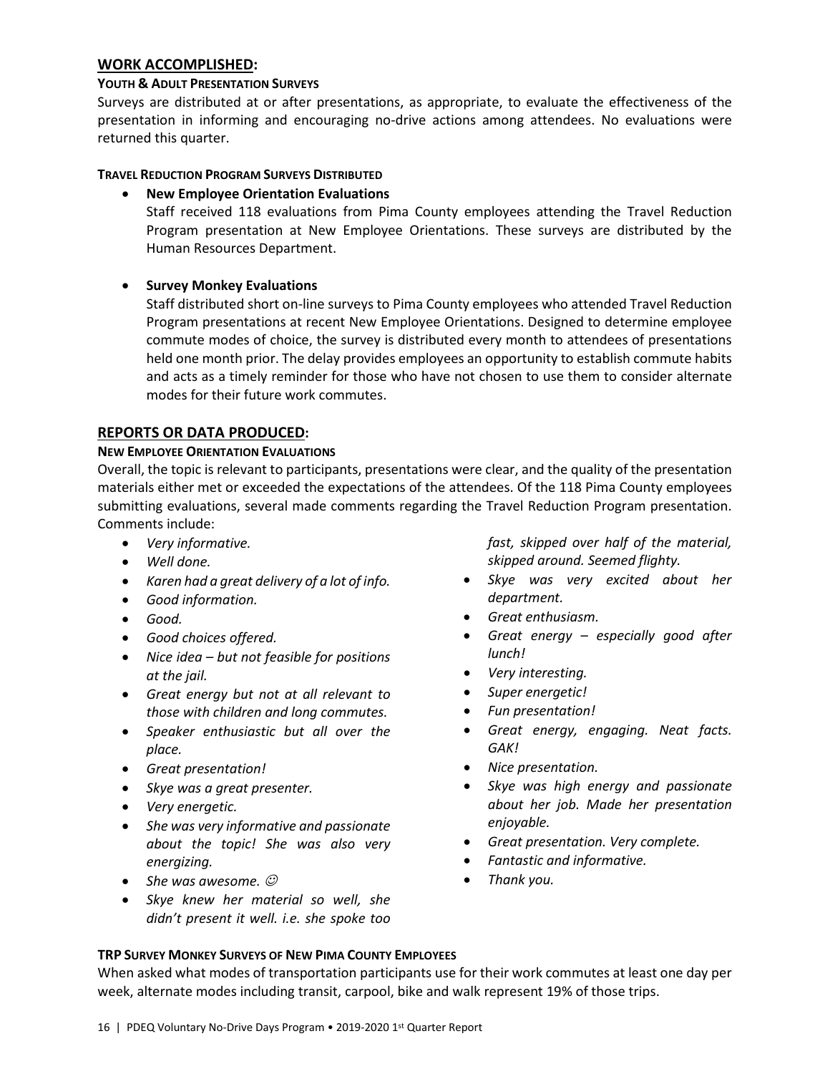#### **WORK ACCOMPLISHED:**

#### **YOUTH & ADULT PRESENTATION SURVEYS**

Surveys are distributed at or after presentations, as appropriate, to evaluate the effectiveness of the presentation in informing and encouraging no-drive actions among attendees. No evaluations were returned this quarter.

#### **TRAVEL REDUCTION PROGRAM SURVEYS DISTRIBUTED**

#### • **New Employee Orientation Evaluations**

Staff received 118 evaluations from Pima County employees attending the Travel Reduction Program presentation at New Employee Orientations. These surveys are distributed by the Human Resources Department.

# • **Survey Monkey Evaluations**

Staff distributed short on-line surveys to Pima County employees who attended Travel Reduction Program presentations at recent New Employee Orientations. Designed to determine employee commute modes of choice, the survey is distributed every month to attendees of presentations held one month prior. The delay provides employees an opportunity to establish commute habits and acts as a timely reminder for those who have not chosen to use them to consider alternate modes for their future work commutes.

# **REPORTS OR DATA PRODUCED:**

#### **NEW EMPLOYEE ORIENTATION EVALUATIONS**

Overall, the topic is relevant to participants, presentations were clear, and the quality of the presentation materials either met or exceeded the expectations of the attendees. Of the 118 Pima County employees submitting evaluations, several made comments regarding the Travel Reduction Program presentation. Comments include:

- *Very informative.*
- *Well done.*
- *Karen had a great delivery of a lot of info.*
- *Good information.*
- *Good.*
- *Good choices offered.*
- *Nice idea – but not feasible for positions at the jail.*
- *Great energy but not at all relevant to those with children and long commutes.*
- *Speaker enthusiastic but all over the place.*
- *Great presentation!*
- *Skye was a great presenter.*
- *Very energetic.*
- *She was very informative and passionate about the topic! She was also very energizing.*
- *She was awesome.*
- *Skye knew her material so well, she didn't present it well. i.e. she spoke too*

*fast, skipped over half of the material, skipped around. Seemed flighty.*

- *Skye was very excited about her department.*
- *Great enthusiasm.*
- *Great energy – especially good after lunch!*
- *Very interesting.*
- *Super energetic!*
- *Fun presentation!*
- *Great energy, engaging. Neat facts. GAK!*
- *Nice presentation.*
- *Skye was high energy and passionate about her job. Made her presentation enjoyable.*
- *Great presentation. Very complete.*
- *Fantastic and informative.*
- *Thank you.*

#### **TRP SURVEY MONKEY SURVEYS OF NEW PIMA COUNTY EMPLOYEES**

When asked what modes of transportation participants use for their work commutes at least one day per week, alternate modes including transit, carpool, bike and walk represent 19% of those trips.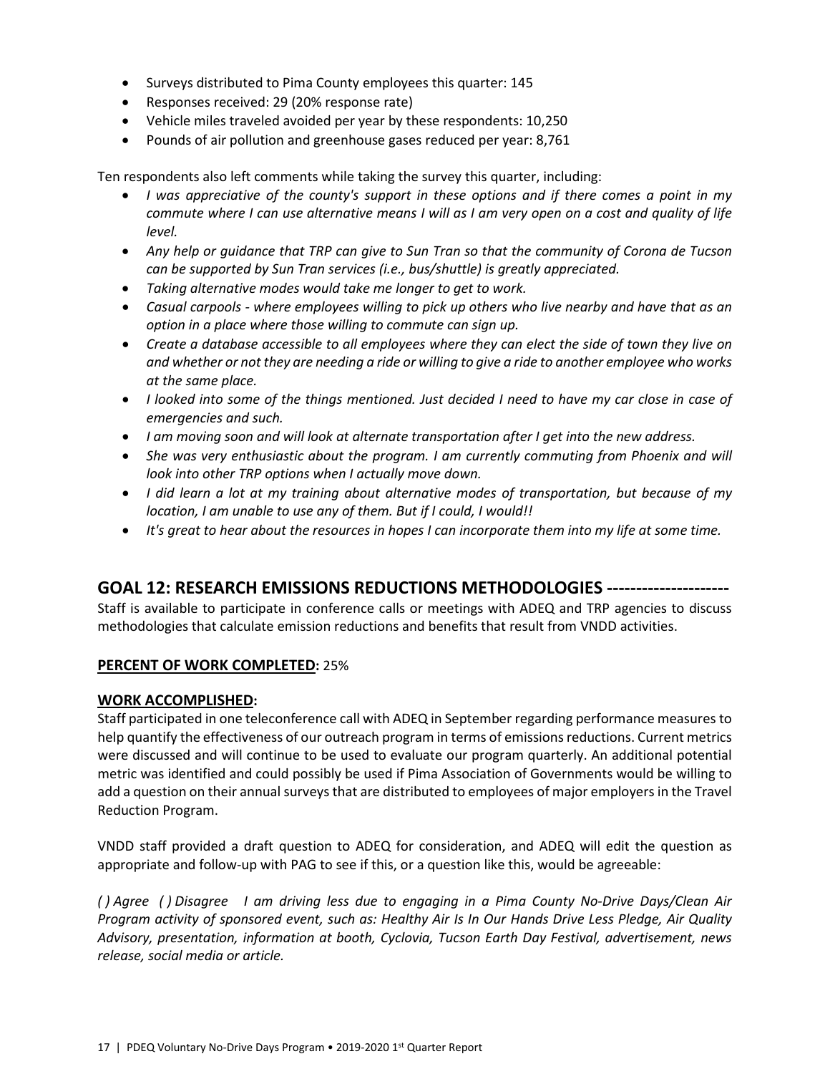- Surveys distributed to Pima County employees this quarter: 145
- Responses received: 29 (20% response rate)
- Vehicle miles traveled avoided per year by these respondents: 10,250
- Pounds of air pollution and greenhouse gases reduced per year: 8,761

Ten respondents also left comments while taking the survey this quarter, including:

- *I was appreciative of the county's support in these options and if there comes a point in my commute where I can use alternative means I will as I am very open on a cost and quality of life level.*
- *Any help or guidance that TRP can give to Sun Tran so that the community of Corona de Tucson can be supported by Sun Tran services (i.e., bus/shuttle) is greatly appreciated.*
- *Taking alternative modes would take me longer to get to work.*
- *Casual carpools - where employees willing to pick up others who live nearby and have that as an option in a place where those willing to commute can sign up.*
- *Create a database accessible to all employees where they can elect the side of town they live on and whether or not they are needing a ride or willing to give a ride to another employee who works at the same place.*
- *I looked into some of the things mentioned. Just decided I need to have my car close in case of emergencies and such.*
- *I am moving soon and will look at alternate transportation after I get into the new address.*
- *She was very enthusiastic about the program. I am currently commuting from Phoenix and will look into other TRP options when I actually move down.*
- *I did learn a lot at my training about alternative modes of transportation, but because of my location, I am unable to use any of them. But if I could, I would!!*
- *It's great to hear about the resources in hopes I can incorporate them into my life at some time.*

# **GOAL 12: RESEARCH EMISSIONS REDUCTIONS METHODOLOGIES ---------------------**

Staff is available to participate in conference calls or meetings with ADEQ and TRP agencies to discuss methodologies that calculate emission reductions and benefits that result from VNDD activities.

# **PERCENT OF WORK COMPLETED:** 25%

# **WORK ACCOMPLISHED:**

Staff participated in one teleconference call with ADEQ in September regarding performance measures to help quantify the effectiveness of our outreach program in terms of emissions reductions. Current metrics were discussed and will continue to be used to evaluate our program quarterly. An additional potential metric was identified and could possibly be used if Pima Association of Governments would be willing to add a question on their annual surveys that are distributed to employees of major employers in the Travel Reduction Program.

VNDD staff provided a draft question to ADEQ for consideration, and ADEQ will edit the question as appropriate and follow-up with PAG to see if this, or a question like this, would be agreeable:

*( ) Agree ( ) Disagree I am driving less due to engaging in a Pima County No-Drive Days/Clean Air Program activity of sponsored event, such as: Healthy Air Is In Our Hands Drive Less Pledge, Air Quality Advisory, presentation, information at booth, Cyclovia, Tucson Earth Day Festival, advertisement, news release, social media or article.*